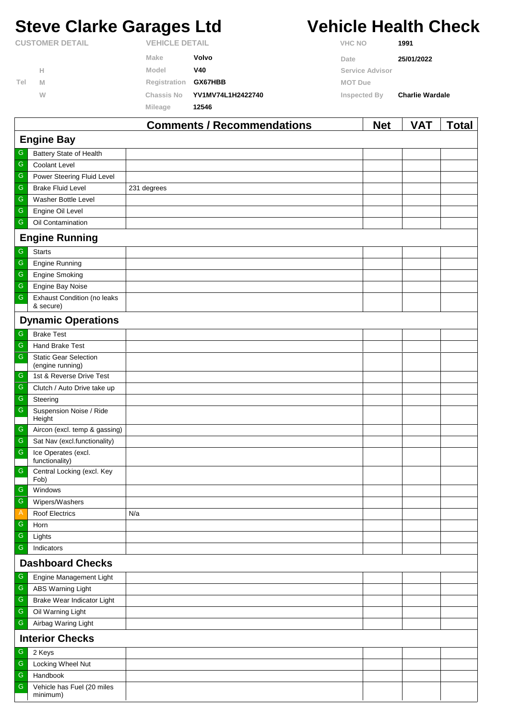# **Steve Clarke Garages Ltd Vehicle Health Check**

|                        |   |                       | Comments / Recommendations | <b>Net</b>             | VAT                    | Total |
|------------------------|---|-----------------------|----------------------------|------------------------|------------------------|-------|
|                        |   | <b>Mileage</b>        | 12546                      |                        |                        |       |
|                        | W | Chassis No            | YV1MV74L1H2422740          | Inspected By           | <b>Charlie Wardale</b> |       |
| Tel                    | M | Registration          | <b>GX67HBB</b>             | <b>MOT Due</b>         |                        |       |
|                        | н | Model                 | V40                        | <b>Service Advisor</b> |                        |       |
|                        |   | Make                  | Volvo                      | Date                   | 25/01/2022             |       |
| <b>CUSTOMER DETAIL</b> |   | <b>VEHICLE DETAIL</b> |                            | <b>VHC NO</b>          | 1991                   |       |

|                         |                                                 | Comments / Recommendations | <b>Net</b> | <b>VAI</b> | <u>i</u> otal |  |  |
|-------------------------|-------------------------------------------------|----------------------------|------------|------------|---------------|--|--|
|                         | <b>Engine Bay</b>                               |                            |            |            |               |  |  |
| G                       | Battery State of Health                         |                            |            |            |               |  |  |
| G                       | <b>Coolant Level</b>                            |                            |            |            |               |  |  |
| ${\mathsf G}$           | Power Steering Fluid Level                      |                            |            |            |               |  |  |
| ${\mathsf G}$           | <b>Brake Fluid Level</b>                        | 231 degrees                |            |            |               |  |  |
| ${\mathsf G}$           | Washer Bottle Level                             |                            |            |            |               |  |  |
| ${\mathsf G}$           | Engine Oil Level                                |                            |            |            |               |  |  |
| ${\mathsf G}$           | Oil Contamination                               |                            |            |            |               |  |  |
|                         | <b>Engine Running</b>                           |                            |            |            |               |  |  |
| ${\mathsf G}$           | <b>Starts</b>                                   |                            |            |            |               |  |  |
| ${\mathsf G}$           | Engine Running                                  |                            |            |            |               |  |  |
| ${\mathsf G}$           | <b>Engine Smoking</b>                           |                            |            |            |               |  |  |
| ${\mathsf G}$           | Engine Bay Noise                                |                            |            |            |               |  |  |
| ${\mathsf G}$           | <b>Exhaust Condition (no leaks</b><br>& secure) |                            |            |            |               |  |  |
|                         | <b>Dynamic Operations</b>                       |                            |            |            |               |  |  |
| ${\mathsf G}$           | <b>Brake Test</b>                               |                            |            |            |               |  |  |
| $\overline{\mathbb{G}}$ | Hand Brake Test                                 |                            |            |            |               |  |  |
| ${\mathsf G}$           | <b>Static Gear Selection</b>                    |                            |            |            |               |  |  |
|                         | (engine running)                                |                            |            |            |               |  |  |
| G                       | 1st & Reverse Drive Test                        |                            |            |            |               |  |  |
| ${\mathsf G}$           | Clutch / Auto Drive take up                     |                            |            |            |               |  |  |
| ${\mathsf G}$           | Steering                                        |                            |            |            |               |  |  |
| ${\mathsf G}$           | Suspension Noise / Ride<br>Height               |                            |            |            |               |  |  |
| ${\mathsf G}$           | Aircon (excl. temp & gassing)                   |                            |            |            |               |  |  |
| ${\mathsf G}$           | Sat Nav (excl.functionality)                    |                            |            |            |               |  |  |
| ${\mathsf G}$           | Ice Operates (excl.<br>functionality)           |                            |            |            |               |  |  |
| ${\mathsf G}$           | Central Locking (excl. Key<br>Fob)              |                            |            |            |               |  |  |
| G                       | Windows                                         |                            |            |            |               |  |  |
| ${\mathsf G}$           | Wipers/Washers                                  |                            |            |            |               |  |  |
| $\mathsf{A}$            | <b>Roof Electrics</b>                           | N/a                        |            |            |               |  |  |
| G                       | Horn                                            |                            |            |            |               |  |  |
| ${\mathsf G}$           | Lights                                          |                            |            |            |               |  |  |
| ${\mathsf G}$           | Indicators                                      |                            |            |            |               |  |  |
|                         | <b>Dashboard Checks</b>                         |                            |            |            |               |  |  |
| G                       | Engine Management Light                         |                            |            |            |               |  |  |
| ${\mathsf G}$           | ABS Warning Light                               |                            |            |            |               |  |  |
| ${\mathbb G}$           | Brake Wear Indicator Light                      |                            |            |            |               |  |  |
| ${\mathsf G}$           | Oil Warning Light                               |                            |            |            |               |  |  |
| ${\mathsf G}$           | Airbag Waring Light                             |                            |            |            |               |  |  |
| <b>Interior Checks</b>  |                                                 |                            |            |            |               |  |  |
| G                       | 2 Keys                                          |                            |            |            |               |  |  |
| ${\mathsf G}$           | Locking Wheel Nut                               |                            |            |            |               |  |  |
| ${\mathsf G}$           | Handbook                                        |                            |            |            |               |  |  |
| ${\mathsf G}$           | Vehicle has Fuel (20 miles<br>minimum)          |                            |            |            |               |  |  |